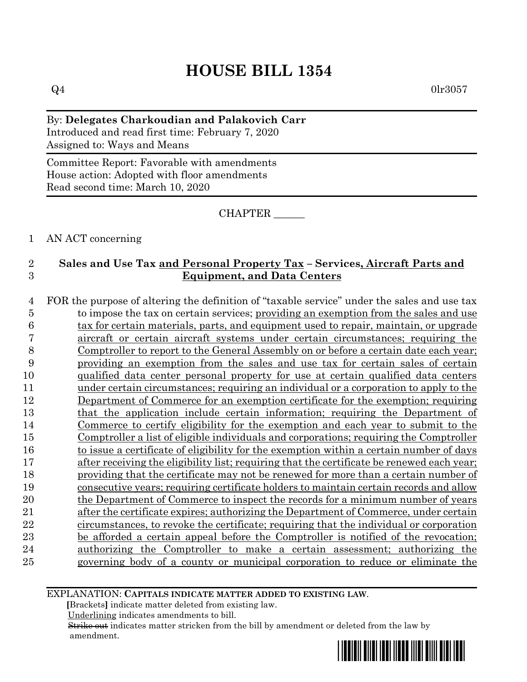# **HOUSE BILL 1354**

 $Q4$  0lr3057

By: **Delegates Charkoudian and Palakovich Carr** Introduced and read first time: February 7, 2020 Assigned to: Ways and Means

Committee Report: Favorable with amendments House action: Adopted with floor amendments Read second time: March 10, 2020

CHAPTER \_\_\_\_\_\_

### 1 AN ACT concerning

# 2 **Sales and Use Tax and Personal Property Tax – Services, Aircraft Parts and**  3 **Equipment, and Data Centers**

 FOR the purpose of altering the definition of "taxable service" under the sales and use tax to impose the tax on certain services; providing an exemption from the sales and use 6 tax for certain materials, parts, and equipment used to repair, maintain, or upgrade aircraft or certain aircraft systems under certain circumstances; requiring the Comptroller to report to the General Assembly on or before a certain date each year; providing an exemption from the sales and use tax for certain sales of certain qualified data center personal property for use at certain qualified data centers under certain circumstances; requiring an individual or a corporation to apply to the Department of Commerce for an exemption certificate for the exemption; requiring that the application include certain information; requiring the Department of Commerce to certify eligibility for the exemption and each year to submit to the Comptroller a list of eligible individuals and corporations; requiring the Comptroller 16 to issue a certificate of eligibility for the exemption within a certain number of days 17 after receiving the eligibility list; requiring that the certificate be renewed each year; providing that the certificate may not be renewed for more than a certain number of consecutive years; requiring certificate holders to maintain certain records and allow the Department of Commerce to inspect the records for a minimum number of years after the certificate expires; authorizing the Department of Commerce, under certain circumstances, to revoke the certificate; requiring that the individual or corporation be afforded a certain appeal before the Comptroller is notified of the revocation; authorizing the Comptroller to make a certain assessment; authorizing the governing body of a county or municipal corporation to reduce or eliminate the

EXPLANATION: **CAPITALS INDICATE MATTER ADDED TO EXISTING LAW**.

 **[**Brackets**]** indicate matter deleted from existing law.

Underlining indicates amendments to bill.

 Strike out indicates matter stricken from the bill by amendment or deleted from the law by amendment.

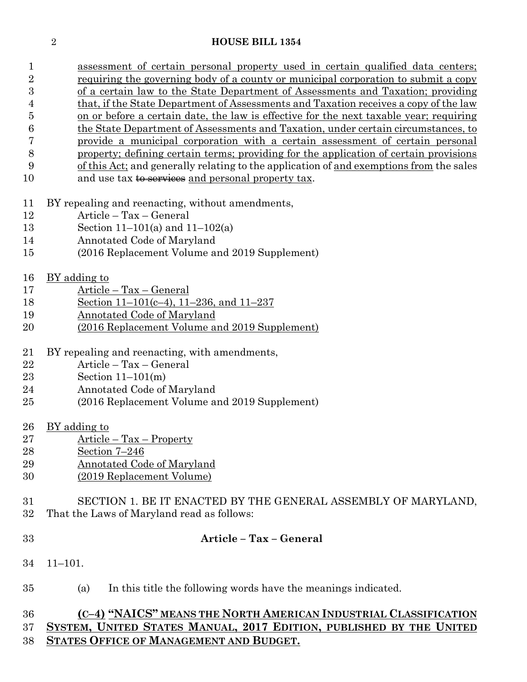#### **HOUSE BILL 1354**

| 1              | assessment of certain personal property used in certain qualified data centers;         |
|----------------|-----------------------------------------------------------------------------------------|
| $\overline{2}$ | requiring the governing body of a county or municipal corporation to submit a copy      |
| 3              | of a certain law to the State Department of Assessments and Taxation; providing         |
| 4              | that, if the State Department of Assessments and Taxation receives a copy of the law    |
| 5              | on or before a certain date, the law is effective for the next taxable year; requiring  |
| 6              | the State Department of Assessments and Taxation, under certain circumstances, to       |
| 7              | provide a municipal corporation with a certain assessment of certain personal           |
| 8              | property; defining certain terms; providing for the application of certain provisions   |
| 9              | of this Act; and generally relating to the application of and exemptions from the sales |
| 10             | and use tax to services and personal property tax.                                      |
| 11             | BY repealing and reenacting, without amendments,                                        |
| 12             | Article - Tax - General                                                                 |
| 13             | Section 11–101(a) and 11–102(a)                                                         |
| 14             | Annotated Code of Maryland                                                              |
| $15\,$         | (2016 Replacement Volume and 2019 Supplement)                                           |
| 16             | <u>BY</u> adding to                                                                     |
| 17             | <u> Article – Tax – General</u>                                                         |
| 18             | Section 11–101(c–4), 11–236, and 11–237                                                 |
| 19             | Annotated Code of Maryland                                                              |
| 20             | (2016 Replacement Volume and 2019 Supplement)                                           |
| 21             | BY repealing and reenacting, with amendments,                                           |
| 22             | Article - Tax - General                                                                 |
| 23             | Section $11-101(m)$                                                                     |
| 24             | Annotated Code of Maryland                                                              |
| $25\,$         | (2016 Replacement Volume and 2019 Supplement)                                           |
| 26             | BY adding to                                                                            |
| $27\,$         | <u> Article – Tax – Property</u>                                                        |
| 28             | <u>Section 7–246</u>                                                                    |
| 29             | <b>Annotated Code of Maryland</b>                                                       |
| 30             | (2019 Replacement Volume)                                                               |
| 31             | SECTION 1. BE IT ENACTED BY THE GENERAL ASSEMBLY OF MARYLAND,                           |
| 32             | That the Laws of Maryland read as follows:                                              |

### **Article – Tax – General**

- 11–101.
- (a) In this title the following words have the meanings indicated.

# **(C–4) "NAICS" MEANS THE NORTH AMERICAN INDUSTRIAL CLASSIFICATION SYSTEM, UNITED STATES MANUAL, 2017 EDITION, PUBLISHED BY THE UNITED STATES OFFICE OF MANAGEMENT AND BUDGET.**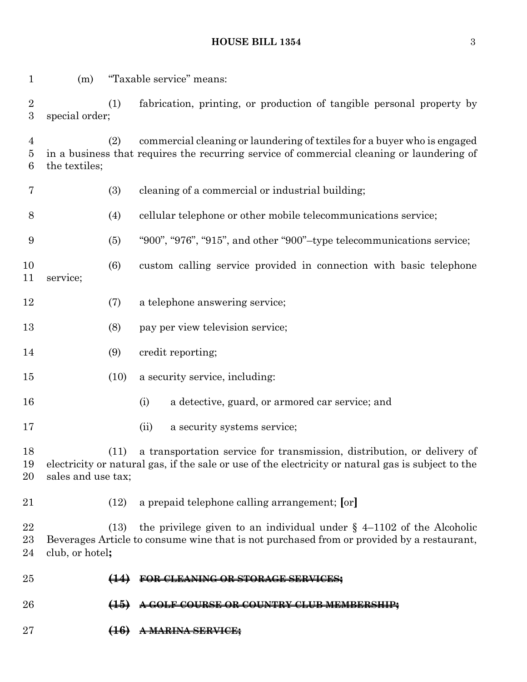# **HOUSE BILL 1354** 3

| $\mathbf 1$              | (m)                |                               | "Taxable service" means:                                                                                                                                                      |
|--------------------------|--------------------|-------------------------------|-------------------------------------------------------------------------------------------------------------------------------------------------------------------------------|
| $\boldsymbol{2}$<br>3    | special order;     | (1)                           | fabrication, printing, or production of tangible personal property by                                                                                                         |
| 4<br>$\overline{5}$<br>6 | the textiles;      | (2)                           | commercial cleaning or laundering of textiles for a buyer who is engaged<br>in a business that requires the recurring service of commercial cleaning or laundering of         |
| 7                        |                    | (3)                           | cleaning of a commercial or industrial building;                                                                                                                              |
| 8                        |                    | (4)                           | cellular telephone or other mobile telecommunications service;                                                                                                                |
| 9                        |                    | (5)                           | "900", "976", "915", and other "900"-type telecommunications service;                                                                                                         |
| 10<br>11                 | service;           | (6)                           | custom calling service provided in connection with basic telephone                                                                                                            |
| 12                       |                    | (7)                           | a telephone answering service;                                                                                                                                                |
| 13                       |                    | (8)                           | pay per view television service;                                                                                                                                              |
| 14                       |                    | (9)                           | credit reporting;                                                                                                                                                             |
| 15                       |                    | (10)                          | a security service, including:                                                                                                                                                |
| 16                       |                    |                               | a detective, guard, or armored car service; and<br>(i)                                                                                                                        |
| 17                       |                    |                               | a security systems service;<br>(ii)                                                                                                                                           |
| 18<br>19<br>20           | sales and use tax; | (11)                          | a transportation service for transmission, distribution, or delivery of<br>electricity or natural gas, if the sale or use of the electricity or natural gas is subject to the |
| 21                       |                    | (12)                          | a prepaid telephone calling arrangement; [or]                                                                                                                                 |
| 22<br>23<br>24           | club, or hotel;    | (13)                          | the privilege given to an individual under $\S$ 4-1102 of the Alcoholic<br>Beverages Article to consume wine that is not purchased from or provided by a restaurant,          |
| 25                       |                    |                               | FOR CLEANING OR STORAGE SERVICES;                                                                                                                                             |
| 26                       |                    | $\left( \frac{15}{2} \right)$ | A GOLF COURSE OR COUNTRY CLUB MEMBERSHIP;                                                                                                                                     |
| 27                       |                    | <del>(16)</del>               |                                                                                                                                                                               |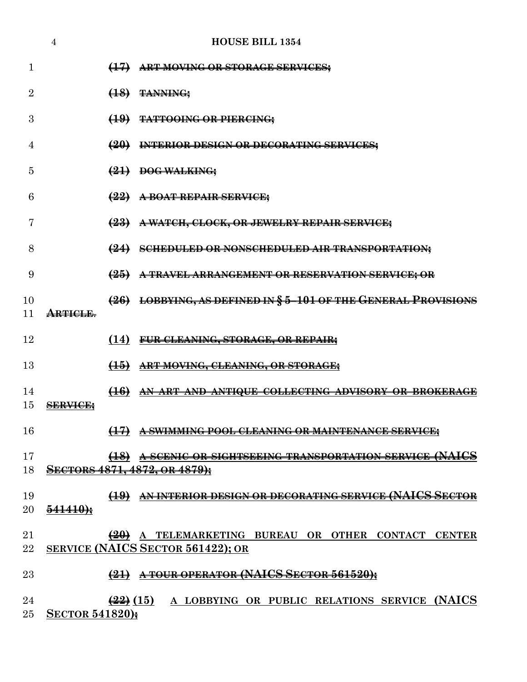|                | 4                      | <b>HOUSE BILL 1354</b>                                                                      |
|----------------|------------------------|---------------------------------------------------------------------------------------------|
| 1              |                        | (17) ART MOVING OR STORAGE SERVICES;                                                        |
| $\overline{2}$ |                        | $(18)$ TANNING:                                                                             |
| 3              |                        | (19) TATTOOING OR PIERCING;                                                                 |
| 4              |                        | (20) INTERIOR DESIGN OR DECORATING SERVICES;                                                |
| 5              |                        | $\left(21\right)$ DOG WALKING;                                                              |
| 6              |                        | $\left(22\right)$ A BOAT REPAIR SERVICE;                                                    |
| 7              |                        | (23) A WATCH, CLOCK, OR JEWELRY REPAIR SERVICE;                                             |
| 8              |                        | (24) SCHEDULED OR NONSCHEDULED AIR TRANSPORTATION;                                          |
| 9              |                        | (25) A TRAVEL ARRANGEMENT OR RESERVATION SERVICE; OR                                        |
| 10             |                        | (26) LOBBYING, AS DEFINED IN § 5-101 OF THE GENERAL PROVISIONS                              |
| 11             | ARTICLE.               |                                                                                             |
| 12             |                        | (14) FUR CLEANING, STORAGE, OR REPAIR;                                                      |
| 13             |                        | (15) ART MOVING, CLEANING, OR STORAGE;                                                      |
| 14<br>15       |                        | (16) AN ART AND ANTIQUE COLLECTING ADVISORY OR BROKERAGE                                    |
|                | <b>SERVICE:</b>        |                                                                                             |
| 16             |                        | (17) A SWIMMING POOL CLEANING OR MAINTENANCE SERVICE;                                       |
| 17<br>18       |                        | (18) A SCENIC OR SIGHTSEEING TRANSPORTATION SERVICE (NAICS<br>SECTORS 4871, 4872, OR 4879); |
|                |                        |                                                                                             |
| 19<br>20       | $541410+$              | (19) AN INTERIOR DESIGN OR DECORATING SERVICE (NAICS SECTOR                                 |
|                |                        |                                                                                             |
| 21<br>22       |                        | (20) A TELEMARKETING BUREAU OR OTHER CONTACT CENTER<br>SERVICE (NAICS SECTOR 561422); OR    |
| 23             |                        | $(21)$ A TOUR OPERATOR (NAICS SECTOR 561520);                                               |
| 24<br>$25\,$   | <b>SECTOR 541820);</b> | $\frac{22}{22}$ (15) A LOBBYING OR PUBLIC RELATIONS SERVICE (NAICS                          |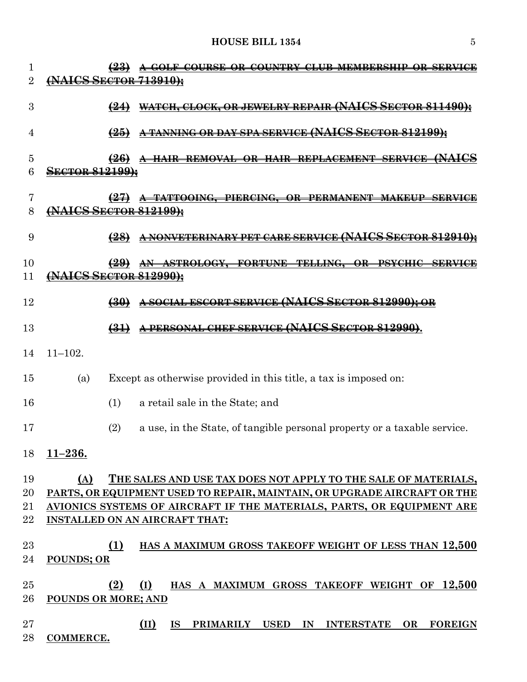### **HOUSE BILL 1354** 5

| 1              |                        |                   | <del>A GOLF COURSE OR COUNTRY</del><br><del>CLUB MEMBERSHIP</del><br><del>OK SERVICE</del> |
|----------------|------------------------|-------------------|--------------------------------------------------------------------------------------------|
| $\overline{2}$ |                        |                   | <del>.ICS Sector 713910):</del>                                                            |
| 3              |                        | $\leftrightarrow$ | WATCH, CLOCK, OR JEWELRY REPAIR (NAICS SECTOR 811490);                                     |
| 4              |                        | $\left(25\right)$ | NNING OR DAY SPA SERVICE (NAICS SECTOR 812199);                                            |
| 5<br>6         | <b>SECTOR 812199):</b> | <del>(26)</del>   |                                                                                            |
| 7<br>8         | (NAICS SECTOR 812199); |                   | <del>TATTOOING, PIERCING,</del><br><del>.PERMANENT</del><br>₩                              |
| 9              |                        | $\left(28\right)$ | <del>PET CARE SERVICE (NAICS SECTOR 81291</del>                                            |
| 10<br>11       | <b>AICS SECTOR</b>     |                   | <b>RORTUNIL</b><br><del>TELLING.</del><br><del>ОR.</del><br><del>812990);</del>            |
| 12             |                        |                   | <b>A SOCIAL ESCORT SERVICE (NAICS SECTOR 812990):</b>                                      |
| 13             |                        | $\left(31\right)$ | <del>chef service (NAICS Sector 81299</del>                                                |
| 14             | $11 - 102.$            |                   |                                                                                            |
| 15             | (a)                    |                   | Except as otherwise provided in this title, a tax is imposed on:                           |
| 16             |                        | (1)               | a retail sale in the State; and                                                            |
| 17             |                        | (2)               | a use, in the State, of tangible personal property or a taxable service.                   |
| 18             | $11 - 236.$            |                   |                                                                                            |
| 19             | (A)                    |                   | THE SALES AND USE TAX DOES NOT APPLY TO THE SALE OF MATERIALS,                             |
| 20             |                        |                   | PARTS, OR EQUIPMENT USED TO REPAIR, MAINTAIN, OR UPGRADE AIRCRAFT OR THE                   |
| 21             |                        |                   | AVIONICS SYSTEMS OF AIRCRAFT IF THE MATERIALS, PARTS, OR EQUIPMENT ARE                     |
| 22             |                        |                   | <b>INSTALLED ON AN AIRCRAFT THAT:</b>                                                      |
| 23             |                        | (1)               | HAS A MAXIMUM GROSS TAKEOFF WEIGHT OF LESS THAN 12,500                                     |
| 24             | <b>POUNDS; OR</b>      |                   |                                                                                            |
| $25\,$         |                        | (2)               | (I)<br>HAS A MAXIMUM GROSS TAKEOFF WEIGHT OF 12,500                                        |
| 26             | POUNDS OR MORE; AND    |                   |                                                                                            |
| 27             |                        |                   | (II)<br><b>IS</b><br>PRIMARILY USED<br>IN<br><b>INTERSTATE</b><br>OR<br><b>FOREIGN</b>     |
| 28             | <b>COMMERCE.</b>       |                   |                                                                                            |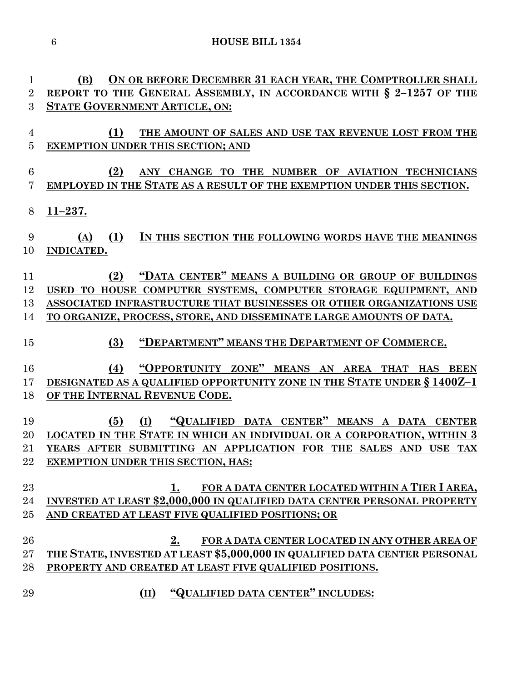**(B) ON OR BEFORE DECEMBER 31 EACH YEAR, THE COMPTROLLER SHALL REPORT TO THE GENERAL ASSEMBLY, IN ACCORDANCE WITH § 2–1257 OF THE STATE GOVERNMENT ARTICLE, ON: (1) THE AMOUNT OF SALES AND USE TAX REVENUE LOST FROM THE EXEMPTION UNDER THIS SECTION; AND (2) ANY CHANGE TO THE NUMBER OF AVIATION TECHNICIANS EMPLOYED IN THE STATE AS A RESULT OF THE EXEMPTION UNDER THIS SECTION. 11–237. (A) (1) IN THIS SECTION THE FOLLOWING WORDS HAVE THE MEANINGS INDICATED. (2) "DATA CENTER" MEANS A BUILDING OR GROUP OF BUILDINGS USED TO HOUSE COMPUTER SYSTEMS, COMPUTER STORAGE EQUIPMENT, AND ASSOCIATED INFRASTRUCTURE THAT BUSINESSES OR OTHER ORGANIZATIONS USE TO ORGANIZE, PROCESS, STORE, AND DISSEMINATE LARGE AMOUNTS OF DATA. (3) "DEPARTMENT" MEANS THE DEPARTMENT OF COMMERCE. (4) "OPPORTUNITY ZONE" MEANS AN AREA THAT HAS BEEN DESIGNATED AS A QUALIFIED OPPORTUNITY ZONE IN THE STATE UNDER § 1400Z–1 OF THE INTERNAL REVENUE CODE. (5) (I) "QUALIFIED DATA CENTER" MEANS A DATA CENTER LOCATED IN THE STATE IN WHICH AN INDIVIDUAL OR A CORPORATION, WITHIN 3 YEARS AFTER SUBMITTING AN APPLICATION FOR THE SALES AND USE TAX EXEMPTION UNDER THIS SECTION, HAS: 1. FOR A DATA CENTER LOCATED WITHIN A TIER I AREA, INVESTED AT LEAST \$2,000,000 IN QUALIFIED DATA CENTER PERSONAL PROPERTY AND CREATED AT LEAST FIVE QUALIFIED POSITIONS; OR 2. FOR A DATA CENTER LOCATED IN ANY OTHER AREA OF THE STATE, INVESTED AT LEAST \$5,000,000 IN QUALIFIED DATA CENTER PERSONAL PROPERTY AND CREATED AT LEAST FIVE QUALIFIED POSITIONS. (II) "QUALIFIED DATA CENTER" INCLUDES:**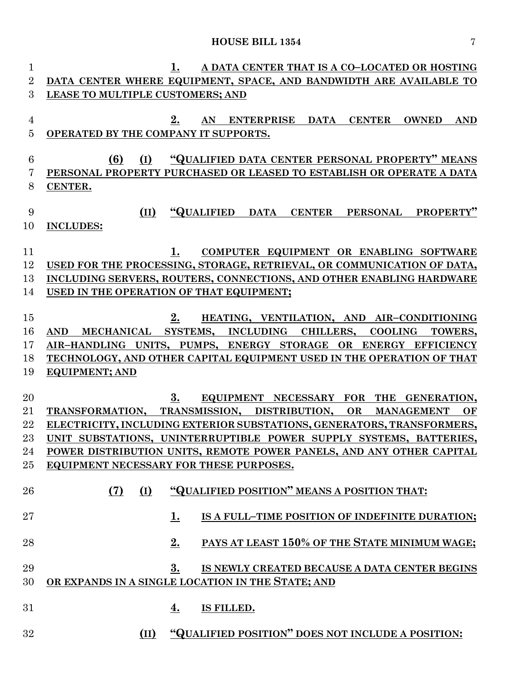# **HOUSE BILL 1354** 7

| $\mathbf 1$    | 1.<br>A DATA CENTER THAT IS A CO-LOCATED OR HOSTING                                    |
|----------------|----------------------------------------------------------------------------------------|
| $\overline{2}$ | DATA CENTER WHERE EQUIPMENT, SPACE, AND BANDWIDTH ARE AVAILABLE TO                     |
| 3              | LEASE TO MULTIPLE CUSTOMERS; AND                                                       |
|                |                                                                                        |
| 4              | 2.<br><b>ENTERPRISE</b><br>DATA<br><b>CENTER</b><br>AN<br><b>OWNED</b><br><b>AND</b>   |
| $\overline{5}$ | OPERATED BY THE COMPANY IT SUPPORTS.                                                   |
|                |                                                                                        |
| 6              | (6)<br>"QUALIFIED DATA CENTER PERSONAL PROPERTY" MEANS<br>(I)                          |
| 7              | PERSONAL PROPERTY PURCHASED OR LEASED TO ESTABLISH OR OPERATE A DATA                   |
| 8              | CENTER.                                                                                |
|                |                                                                                        |
| 9              | "QUALIFIED<br>PROPERTY"<br><b>DATA</b><br><b>CENTER</b><br>PERSONAL<br>(II)            |
| 10             | <b>INCLUDES:</b>                                                                       |
|                |                                                                                        |
| 11             | 1.<br>COMPUTER EQUIPMENT OR ENABLING SOFTWARE                                          |
| 12             | USED FOR THE PROCESSING, STORAGE, RETRIEVAL, OR COMMUNICATION OF DATA,                 |
| 13             | INCLUDING SERVERS, ROUTERS, CONNECTIONS, AND OTHER ENABLING HARDWARE                   |
| 14             | USED IN THE OPERATION OF THAT EQUIPMENT;                                               |
|                |                                                                                        |
| 15             | 2.<br>HEATING, VENTILATION, AND AIR-CONDITIONING                                       |
| 16             | MECHANICAL SYSTEMS, INCLUDING<br>CHILLERS,<br><b>COOLING</b><br><b>AND</b><br>TOWERS,  |
| 17             | AIR-HANDLING UNITS, PUMPS, ENERGY STORAGE OR ENERGY EFFICIENCY                         |
| 18             | TECHNOLOGY, AND OTHER CAPITAL EQUIPMENT USED IN THE OPERATION OF THAT                  |
| 19             | <b>EQUIPMENT; AND</b>                                                                  |
|                |                                                                                        |
| 20             | 3.<br>EQUIPMENT NECESSARY FOR<br>THE GENERATION,                                       |
| 21             | TRANSFORMATION, TRANSMISSION,<br>DISTRIBUTION.<br><b>OR</b><br><b>MANAGEMENT</b><br>OF |
| 22             | ELECTRICITY, INCLUDING EXTERIOR SUBSTATIONS, GENERATORS, TRANSFORMERS,                 |
| 23             | UNIT SUBSTATIONS, UNINTERRUPTIBLE POWER SUPPLY SYSTEMS, BATTERIES,                     |
| 24             | POWER DISTRIBUTION UNITS, REMOTE POWER PANELS, AND ANY OTHER CAPITAL                   |
| 25             | EQUIPMENT NECESSARY FOR THESE PURPOSES.                                                |
|                |                                                                                        |
| 26             | "QUALIFIED POSITION" MEANS A POSITION THAT:<br>(I)<br>(7)                              |
|                |                                                                                        |
| 27             | 1.<br>IS A FULL-TIME POSITION OF INDEFINITE DURATION;                                  |
|                |                                                                                        |
| 28             | 2.<br>PAYS AT LEAST 150% OF THE STATE MINIMUM WAGE;                                    |
|                |                                                                                        |
| 29             | 3.<br>IS NEWLY CREATED BECAUSE A DATA CENTER BEGINS                                    |
| 30             | OR EXPANDS IN A SINGLE LOCATION IN THE STATE; AND                                      |
|                |                                                                                        |
| 31             | IS FILLED.<br>4.                                                                       |
|                |                                                                                        |
| 32             | "QUALIFIED POSITION" DOES NOT INCLUDE A POSITION:<br>(II)                              |
|                |                                                                                        |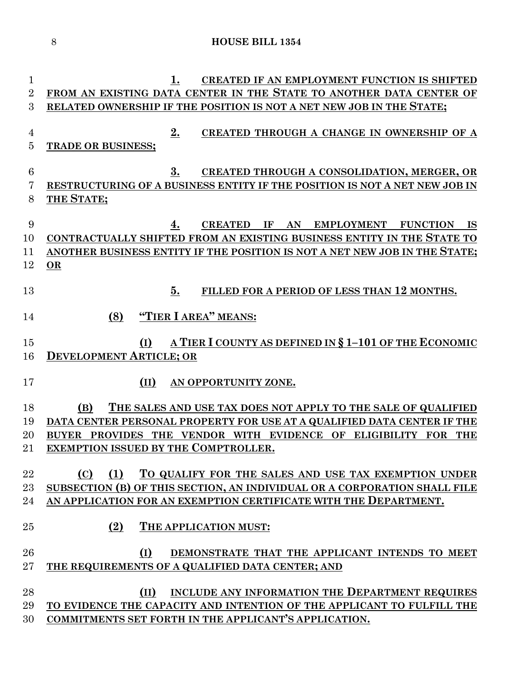**1. CREATED IF AN EMPLOYMENT FUNCTION IS SHIFTED FROM AN EXISTING DATA CENTER IN THE STATE TO ANOTHER DATA CENTER OF RELATED OWNERSHIP IF THE POSITION IS NOT A NET NEW JOB IN THE STATE; 2. CREATED THROUGH A CHANGE IN OWNERSHIP OF A TRADE OR BUSINESS; 3. CREATED THROUGH A CONSOLIDATION, MERGER, OR RESTRUCTURING OF A BUSINESS ENTITY IF THE POSITION IS NOT A NET NEW JOB IN THE STATE; 4. CREATED IF AN EMPLOYMENT FUNCTION IS CONTRACTUALLY SHIFTED FROM AN EXISTING BUSINESS ENTITY IN THE STATE TO ANOTHER BUSINESS ENTITY IF THE POSITION IS NOT A NET NEW JOB IN THE STATE; OR 5. FILLED FOR A PERIOD OF LESS THAN 12 MONTHS. (8) "TIER I AREA" MEANS: (I) A TIER I COUNTY AS DEFINED IN § 1–101 OF THE ECONOMIC DEVELOPMENT ARTICLE; OR (II) AN OPPORTUNITY ZONE. (B) THE SALES AND USE TAX DOES NOT APPLY TO THE SALE OF QUALIFIED DATA CENTER PERSONAL PROPERTY FOR USE AT A QUALIFIED DATA CENTER IF THE BUYER PROVIDES THE VENDOR WITH EVIDENCE OF ELIGIBILITY FOR THE EXEMPTION ISSUED BY THE COMPTROLLER. (C) (1) TO QUALIFY FOR THE SALES AND USE TAX EXEMPTION UNDER SUBSECTION (B) OF THIS SECTION, AN INDIVIDUAL OR A CORPORATION SHALL FILE AN APPLICATION FOR AN EXEMPTION CERTIFICATE WITH THE DEPARTMENT. (2) THE APPLICATION MUST: (I) DEMONSTRATE THAT THE APPLICANT INTENDS TO MEET THE REQUIREMENTS OF A QUALIFIED DATA CENTER; AND (II) INCLUDE ANY INFORMATION THE DEPARTMENT REQUIRES TO EVIDENCE THE CAPACITY AND INTENTION OF THE APPLICANT TO FULFILL THE** 

**COMMITMENTS SET FORTH IN THE APPLICANT'S APPLICATION.**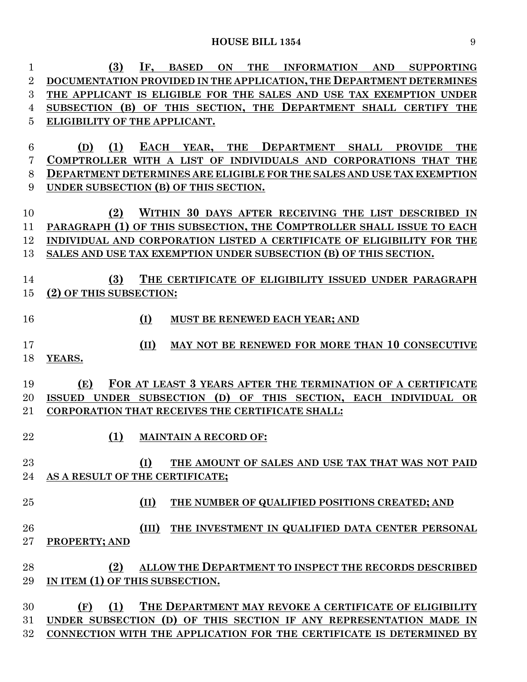| 1                | (3)<br>IF,<br><b>BASED</b><br>ON<br><b>THE</b><br><b>INFORMATION</b><br><b>AND</b><br><b>SUPPORTING</b> |
|------------------|---------------------------------------------------------------------------------------------------------|
| $\overline{2}$   | DOCUMENTATION PROVIDED IN THE APPLICATION, THE DEPARTMENT DETERMINES                                    |
| 3                | THE APPLICANT IS ELIGIBLE FOR THE SALES AND USE TAX EXEMPTION UNDER                                     |
| 4                | SUBSECTION (B) OF THIS SECTION, THE DEPARTMENT SHALL CERTIFY THE                                        |
| 5                | ELIGIBILITY OF THE APPLICANT.                                                                           |
|                  |                                                                                                         |
| $\boldsymbol{6}$ | (1)<br><b>EACH</b><br><b>THE</b><br>DEPARTMENT SHALL<br><b>THE</b><br>(D)<br>YEAR,<br><b>PROVIDE</b>    |
| 7                | COMPTROLLER WITH A LIST OF INDIVIDUALS AND CORPORATIONS THAT THE                                        |
| 8                | <b>DEPARTMENT DETERMINES ARE ELIGIBLE FOR THE SALES AND USE TAX EXEMPTION</b>                           |
| 9                | UNDER SUBSECTION (B) OF THIS SECTION.                                                                   |
|                  |                                                                                                         |
| 10               | (2)<br>WITHIN 30 DAYS AFTER RECEIVING THE LIST DESCRIBED IN                                             |
| 11               | PARAGRAPH (1) OF THIS SUBSECTION, THE COMPTROLLER SHALL ISSUE TO EACH                                   |
| 12               | INDIVIDUAL AND CORPORATION LISTED A CERTIFICATE OF ELIGIBILITY FOR THE                                  |
| 13               | SALES AND USE TAX EXEMPTION UNDER SUBSECTION (B) OF THIS SECTION.                                       |
|                  |                                                                                                         |
| 14               | (3)<br>THE CERTIFICATE OF ELIGIBILITY ISSUED UNDER PARAGRAPH                                            |
| 15               | (2) OF THIS SUBSECTION:                                                                                 |
|                  |                                                                                                         |
| 16               | (I)<br><b>MUST BE RENEWED EACH YEAR; AND</b>                                                            |
|                  |                                                                                                         |
| 17               | MAY NOT BE RENEWED FOR MORE THAN 10 CONSECUTIVE<br>(II)                                                 |
| 18               | YEARS.                                                                                                  |
| 19               | FOR AT LEAST 3 YEARS AFTER THE TERMINATION OF A CERTIFICATE<br>(E)                                      |
| 20               | UNDER SUBSECTION (D) OF THIS SECTION, EACH INDIVIDUAL OR<br><b>ISSUED</b>                               |
| 21               | <b>CORPORATION THAT RECEIVES THE CERTIFICATE SHALL:</b>                                                 |
|                  |                                                                                                         |
| 22               | (1)<br><b>MAINTAIN A RECORD OF:</b>                                                                     |
|                  |                                                                                                         |
| 23               | (I)<br>THE AMOUNT OF SALES AND USE TAX THAT WAS NOT PAID                                                |
| 24               | AS A RESULT OF THE CERTIFICATE;                                                                         |
|                  |                                                                                                         |
| 25               | (II)<br>THE NUMBER OF QUALIFIED POSITIONS CREATED; AND                                                  |
|                  |                                                                                                         |
| 26               | THE INVESTMENT IN QUALIFIED DATA CENTER PERSONAL<br>(III)                                               |
| 27               | PROPERTY; AND                                                                                           |
|                  |                                                                                                         |
| 28               | (2)<br>ALLOW THE DEPARTMENT TO INSPECT THE RECORDS DESCRIBED                                            |
| 29               | IN ITEM (1) OF THIS SUBSECTION.                                                                         |
|                  |                                                                                                         |
| 30               | (1)<br>THE DEPARTMENT MAY REVOKE A CERTIFICATE OF ELIGIBILITY<br>(F)                                    |
| 31               | UNDER SUBSECTION (D) OF THIS SECTION IF ANY REPRESENTATION MADE IN                                      |
| 32               | CONNECTION WITH THE APPLICATION FOR THE CERTIFICATE IS DETERMINED BY                                    |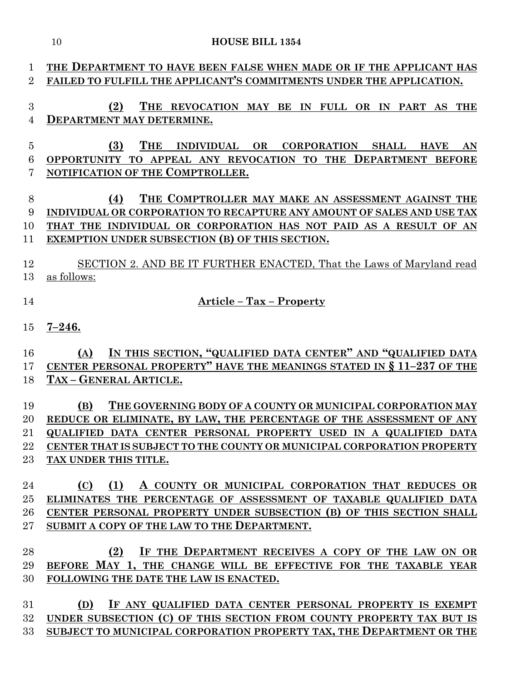|                | <b>HOUSE BILL 1354</b><br>10                                                                                                            |
|----------------|-----------------------------------------------------------------------------------------------------------------------------------------|
|                |                                                                                                                                         |
| $\mathbf{1}$   | THE DEPARTMENT TO HAVE BEEN FALSE WHEN MADE OR IF THE APPLICANT HAS                                                                     |
| $\overline{2}$ | FAILED TO FULFILL THE APPLICANT'S COMMITMENTS UNDER THE APPLICATION.                                                                    |
| 3              | (2)<br>THE REVOCATION MAY BE IN FULL OR IN PART AS THE                                                                                  |
| $\overline{4}$ | DEPARTMENT MAY DETERMINE.                                                                                                               |
|                |                                                                                                                                         |
| $\overline{5}$ | (3)<br><b>THE</b><br>INDIVIDUAL OR CORPORATION SHALL HAVE<br>AN                                                                         |
| 6              | OPPORTUNITY TO APPEAL ANY REVOCATION TO THE DEPARTMENT BEFORE                                                                           |
| 7              | NOTIFICATION OF THE COMPTROLLER.                                                                                                        |
| 8              | THE COMPTROLLER MAY MAKE AN ASSESSMENT AGAINST THE<br>(4)                                                                               |
| 9              | INDIVIDUAL OR CORPORATION TO RECAPTURE ANY AMOUNT OF SALES AND USE TAX                                                                  |
| 10             | THAT THE INDIVIDUAL OR CORPORATION HAS NOT PAID AS A RESULT OF AN                                                                       |
| 11             | EXEMPTION UNDER SUBSECTION (B) OF THIS SECTION.                                                                                         |
|                |                                                                                                                                         |
| 12             | SECTION 2. AND BE IT FURTHER ENACTED, That the Laws of Maryland read                                                                    |
| 13             | as follows:                                                                                                                             |
| 14             | <b>Article - Tax - Property</b>                                                                                                         |
|                |                                                                                                                                         |
| 15             | $7 - 246.$                                                                                                                              |
|                |                                                                                                                                         |
| 16             | IN THIS SECTION, "QUALIFIED DATA CENTER" AND "QUALIFIED DATA<br>(A)                                                                     |
| 17             | CENTER PERSONAL PROPERTY" HAVE THE MEANINGS STATED IN § 11-237 OF THE                                                                   |
| 18             | TAX - GENERAL ARTICLE.                                                                                                                  |
| 19             | THE GOVERNING BODY OF A COUNTY OR MUNICIPAL CORPORATION MAY<br>(B)                                                                      |
| 20             | REDUCE OR ELIMINATE, BY LAW, THE PERCENTAGE OF THE ASSESSMENT OF ANY                                                                    |
| 21             | QUALIFIED DATA CENTER PERSONAL PROPERTY USED IN A QUALIFIED DATA                                                                        |
| 22             | CENTER THAT IS SUBJECT TO THE COUNTY OR MUNICIPAL CORPORATION PROPERTY                                                                  |
| 23             | TAX UNDER THIS TITLE.                                                                                                                   |
|                | (1)                                                                                                                                     |
| 24<br>25       | (C)<br>A COUNTY OR MUNICIPAL CORPORATION THAT REDUCES OR<br>ELIMINATES THE PERCENTAGE OF ASSESSMENT OF TAXABLE QUALIFIED DATA           |
| 26             | CENTER PERSONAL PROPERTY UNDER SUBSECTION (B) OF THIS SECTION SHALL                                                                     |
| $27\,$         | SUBMIT A COPY OF THE LAW TO THE DEPARTMENT.                                                                                             |
|                |                                                                                                                                         |
| 28             | IF THE DEPARTMENT RECEIVES A COPY OF THE LAW ON OR<br>(2)                                                                               |
| 29             | BEFORE MAY 1, THE CHANGE WILL BE EFFECTIVE FOR THE TAXABLE YEAR                                                                         |
| 30             | FOLLOWING THE DATE THE LAW IS ENACTED.                                                                                                  |
|                |                                                                                                                                         |
| 31<br>32       | IF ANY QUALIFIED DATA CENTER PERSONAL PROPERTY IS EXEMPT<br>(D)<br>UNDER SUBSECTION (C) OF THIS SECTION FROM COUNTY PROPERTY TAX BUT IS |
| $33\,$         | SUBJECT TO MUNICIPAL CORPORATION PROPERTY TAX, THE DEPARTMENT OR THE                                                                    |
|                |                                                                                                                                         |